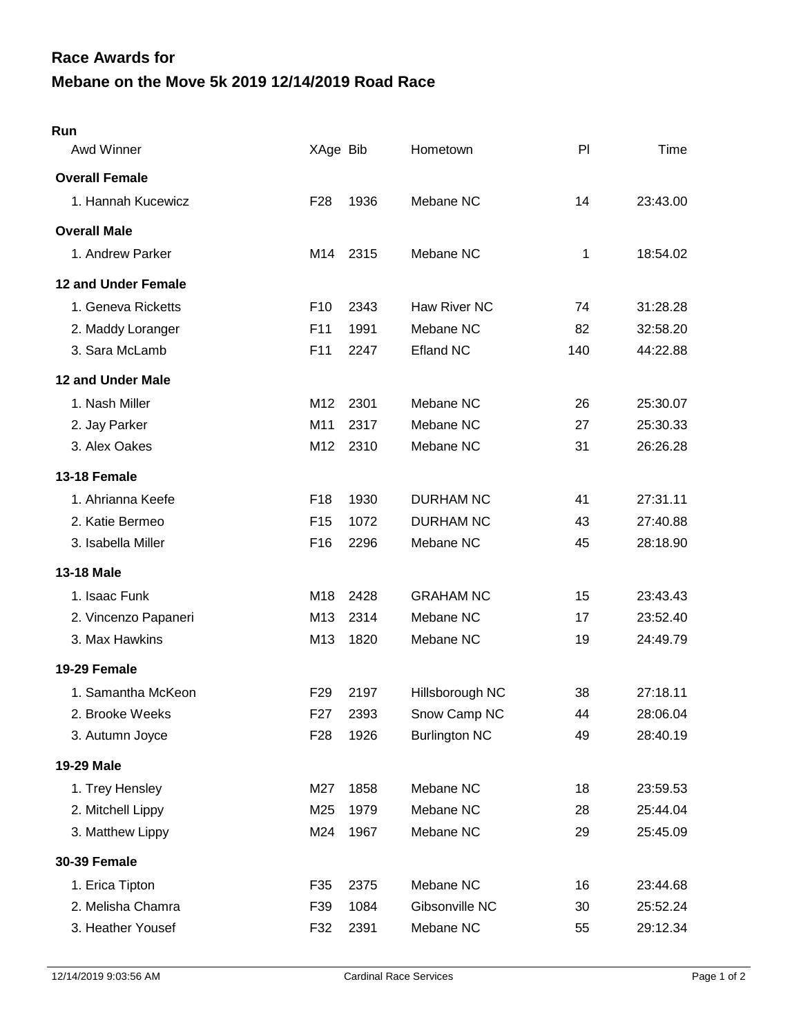## **Mebane on the Move 5k 2019 12/14/2019 Road Race Race Awards for**

| Run                        |                  |      |                      |     |          |
|----------------------------|------------------|------|----------------------|-----|----------|
| Awd Winner                 | XAge Bib         |      | Hometown             | PI  | Time     |
| <b>Overall Female</b>      |                  |      |                      |     |          |
| 1. Hannah Kucewicz         | F <sub>28</sub>  | 1936 | Mebane NC            | 14  | 23:43.00 |
| <b>Overall Male</b>        |                  |      |                      |     |          |
| 1. Andrew Parker           | M14              | 2315 | Mebane NC            | 1   | 18:54.02 |
| <b>12 and Under Female</b> |                  |      |                      |     |          |
| 1. Geneva Ricketts         | F <sub>10</sub>  | 2343 | Haw River NC         | 74  | 31:28.28 |
| 2. Maddy Loranger          | F <sub>11</sub>  | 1991 | Mebane NC            | 82  | 32:58.20 |
| 3. Sara McLamb             | F <sub>11</sub>  | 2247 | <b>Efland NC</b>     | 140 | 44:22.88 |
| 12 and Under Male          |                  |      |                      |     |          |
| 1. Nash Miller             | M12              | 2301 | Mebane NC            | 26  | 25:30.07 |
| 2. Jay Parker              | M11              | 2317 | Mebane NC            | 27  | 25:30.33 |
| 3. Alex Oakes              | M12              | 2310 | Mebane NC            | 31  | 26:26.28 |
| 13-18 Female               |                  |      |                      |     |          |
| 1. Ahrianna Keefe          | F <sub>18</sub>  | 1930 | <b>DURHAM NC</b>     | 41  | 27:31.11 |
| 2. Katie Bermeo            | F <sub>15</sub>  | 1072 | <b>DURHAM NC</b>     | 43  | 27:40.88 |
| 3. Isabella Miller         | F <sub>16</sub>  | 2296 | Mebane NC            | 45  | 28:18.90 |
| <b>13-18 Male</b>          |                  |      |                      |     |          |
| 1. Isaac Funk              | M18              | 2428 | <b>GRAHAM NC</b>     | 15  | 23:43.43 |
| 2. Vincenzo Papaneri       | M13              | 2314 | Mebane NC            | 17  | 23:52.40 |
| 3. Max Hawkins             | M13              | 1820 | Mebane NC            | 19  | 24:49.79 |
| 19-29 Female               |                  |      |                      |     |          |
| 1. Samantha McKeon         | F <sub>29</sub>  | 2197 | Hillsborough NC      | 38  | 27:18.11 |
| 2. Brooke Weeks            | F <sub>2</sub> 7 | 2393 | Snow Camp NC         | 44  | 28:06.04 |
| 3. Autumn Joyce            | F <sub>28</sub>  | 1926 | <b>Burlington NC</b> | 49  | 28:40.19 |
| 19-29 Male                 |                  |      |                      |     |          |
| 1. Trey Hensley            | M27              | 1858 | Mebane NC            | 18  | 23:59.53 |
| 2. Mitchell Lippy          | M25              | 1979 | Mebane NC            | 28  | 25:44.04 |
| 3. Matthew Lippy           | M24              | 1967 | Mebane NC            | 29  | 25:45.09 |
| <b>30-39 Female</b>        |                  |      |                      |     |          |
| 1. Erica Tipton            | F35              | 2375 | Mebane NC            | 16  | 23:44.68 |
| 2. Melisha Chamra          | F39              | 1084 | Gibsonville NC       | 30  | 25:52.24 |
| 3. Heather Yousef          | F32              | 2391 | Mebane NC            | 55  | 29:12.34 |